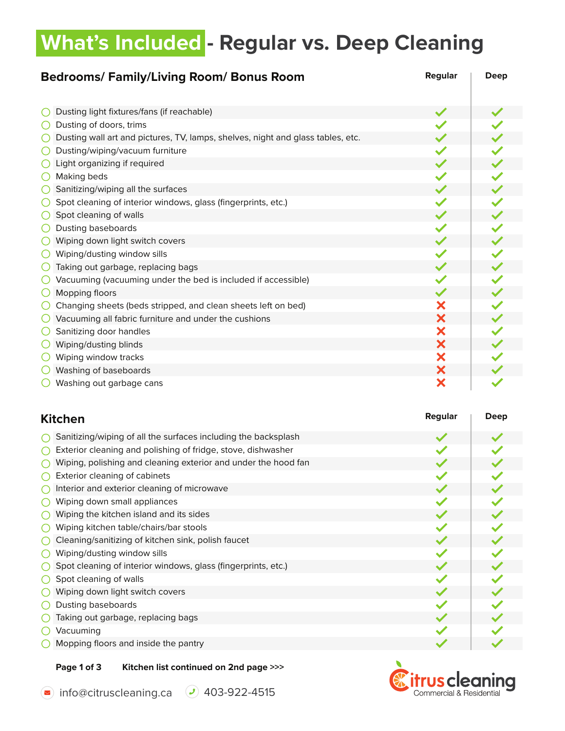### **What's Included - Regular vs. Deep Cleaning**

| Regular<br><b>Bedrooms/Family/Living Room/Bonus Room</b>                        |   | Deep |
|---------------------------------------------------------------------------------|---|------|
|                                                                                 |   |      |
| Dusting light fixtures/fans (if reachable)                                      |   |      |
| Dusting of doors, trims                                                         |   |      |
| Dusting wall art and pictures, TV, lamps, shelves, night and glass tables, etc. |   |      |
| Dusting/wiping/vacuum furniture                                                 |   |      |
| Light organizing if required                                                    |   |      |
| Making beds                                                                     |   |      |
| Sanitizing/wiping all the surfaces                                              |   |      |
| Spot cleaning of interior windows, glass (fingerprints, etc.)                   |   |      |
| Spot cleaning of walls                                                          |   |      |
| Dusting baseboards                                                              |   |      |
| Wiping down light switch covers                                                 |   |      |
| Wiping/dusting window sills                                                     |   |      |
| Taking out garbage, replacing bags                                              |   |      |
| Vacuuming (vacuuming under the bed is included if accessible)                   |   |      |
| Mopping floors                                                                  |   |      |
| Х<br>Changing sheets (beds stripped, and clean sheets left on bed)              |   |      |
| Vacuuming all fabric furniture and under the cushions                           | X |      |
| Sanitizing door handles                                                         | Х |      |
| Wiping/dusting blinds                                                           | X |      |
| Wiping window tracks                                                            | Х |      |
| Washing of baseboards                                                           | X |      |
| Washing out garbage cans                                                        | × |      |

| <b>Kitchen</b>                                                 | <b>Regular</b> | <b>Deep</b> |
|----------------------------------------------------------------|----------------|-------------|
| Sanitizing/wiping of all the surfaces including the backsplash |                |             |
| Exterior cleaning and polishing of fridge, stove, dishwasher   |                |             |
| Wiping, polishing and cleaning exterior and under the hood fan |                |             |
| Exterior cleaning of cabinets                                  |                |             |
| Interior and exterior cleaning of microwave                    |                |             |
| Wiping down small appliances                                   |                |             |
| Wiping the kitchen island and its sides                        |                |             |
| Wiping kitchen table/chairs/bar stools                         |                |             |
| Cleaning/sanitizing of kitchen sink, polish faucet             |                |             |
| Wiping/dusting window sills                                    |                |             |
| Spot cleaning of interior windows, glass (fingerprints, etc.)  |                |             |
| Spot cleaning of walls                                         |                |             |
| Wiping down light switch covers                                |                |             |
| Dusting baseboards                                             |                |             |
| Taking out garbage, replacing bags                             |                |             |
| Vacuuming                                                      |                |             |
| Mopping floors and inside the pantry                           |                |             |

#### **Page 1 of 3 Kitchen list continued on 2nd page >>>**

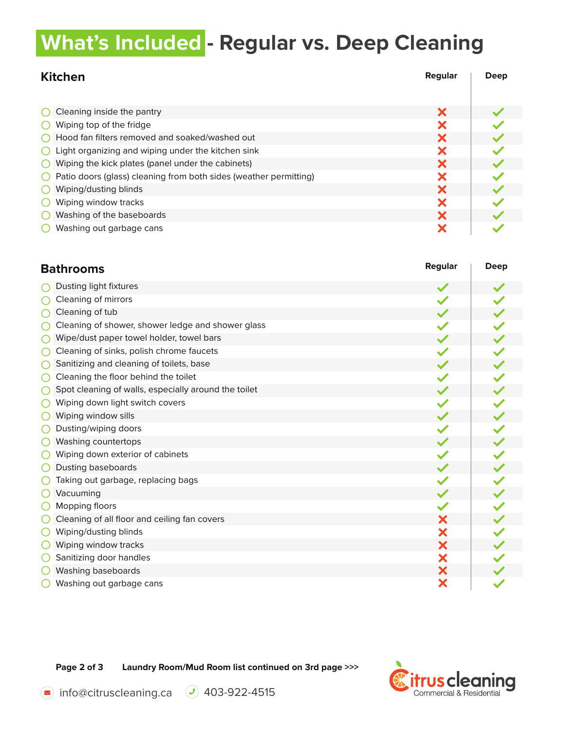## **What's Included - Regular vs. Deep Cleaning**

| <b>Kitchen</b>                                                    | Regular | Deep |
|-------------------------------------------------------------------|---------|------|
|                                                                   |         |      |
| Cleaning inside the pantry                                        | Х       |      |
| Wiping top of the fridge                                          |         |      |
| Hood fan filters removed and soaked/washed out                    |         |      |
| Light organizing and wiping under the kitchen sink                |         |      |
| Wiping the kick plates (panel under the cabinets)                 |         |      |
| Patio doors (glass) cleaning from both sides (weather permitting) |         |      |
| Х<br>Wiping/dusting blinds                                        |         |      |
| Wiping window tracks                                              |         |      |
| Washing of the baseboards                                         |         |      |
| Washing out garbage cans                                          |         |      |

| <b>Bathrooms</b>                                     |   | Deep |
|------------------------------------------------------|---|------|
| Dusting light fixtures                               |   |      |
| Cleaning of mirrors                                  |   |      |
| Cleaning of tub                                      |   |      |
| Cleaning of shower, shower ledge and shower glass    |   |      |
| Wipe/dust paper towel holder, towel bars             |   |      |
| Cleaning of sinks, polish chrome faucets             |   |      |
| Sanitizing and cleaning of toilets, base             |   |      |
| Cleaning the floor behind the toilet                 |   |      |
| Spot cleaning of walls, especially around the toilet |   |      |
| Wiping down light switch covers                      |   |      |
| Wiping window sills                                  |   |      |
| Dusting/wiping doors                                 |   |      |
| Washing countertops                                  |   |      |
| Wiping down exterior of cabinets                     |   |      |
| Dusting baseboards                                   |   |      |
| Taking out garbage, replacing bags                   |   |      |
| Vacuuming                                            |   |      |
| Mopping floors                                       |   |      |
| Cleaning of all floor and ceiling fan covers         | Х |      |
| Wiping/dusting blinds                                | X |      |
| Wiping window tracks                                 | X |      |
| Sanitizing door handles                              | X |      |
| Washing baseboards                                   | X |      |
| Washing out garbage cans                             | X |      |

**Page 2 of 3 Laundry Room/Mud Room list continued on 3rd page >>>**